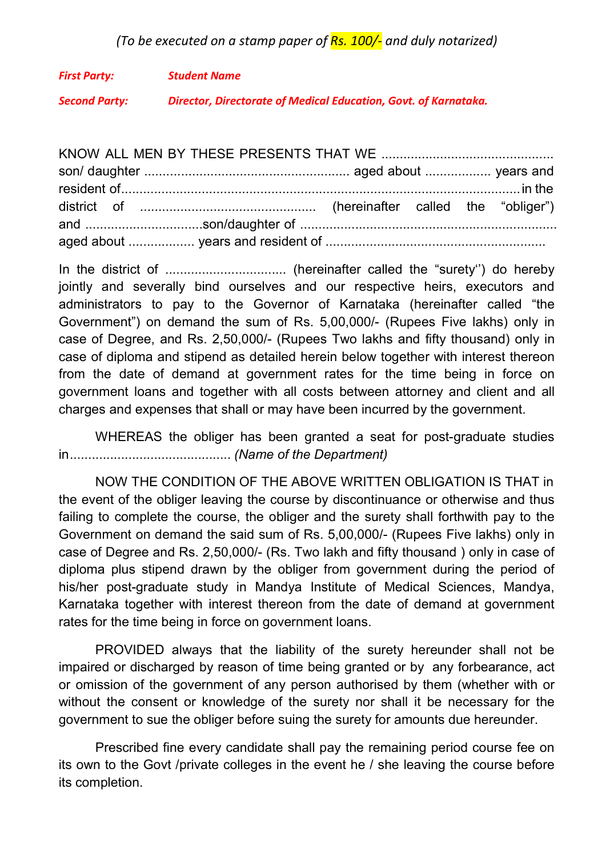## (To be executed on a stamp paper of  $\overline{Rs}$ . 100/- and duly notarized)

First Party: Student Name Second Party: Director, Directorate of Medical Education, Govt. of Karnataka.

KNOW ALL MEN BY THESE PRESENTS THAT WE ............................................... son/ daughter ........................................................ aged about .................. years and resident of ............................................................................................................. in the district of ................................................ (hereinafter called the "obliger") and ................................son/daughter of ...................................................................... aged about .................. years and resident of ............................................................

In the district of ................................. (hereinafter called the "surety'') do hereby jointly and severally bind ourselves and our respective heirs, executors and administrators to pay to the Governor of Karnataka (hereinafter called "the Government") on demand the sum of Rs. 5,00,000/- (Rupees Five lakhs) only in case of Degree, and Rs. 2,50,000/- (Rupees Two lakhs and fifty thousand) only in case of diploma and stipend as detailed herein below together with interest thereon from the date of demand at government rates for the time being in force on government loans and together with all costs between attorney and client and all charges and expenses that shall or may have been incurred by the government.

WHEREAS the obliger has been granted a seat for post-graduate studies in ............................................ (Name of the Department)

NOW THE CONDITION OF THE ABOVE WRITTEN OBLIGATION IS THAT in the event of the obliger leaving the course by discontinuance or otherwise and thus failing to complete the course, the obliger and the surety shall forthwith pay to the Government on demand the said sum of Rs. 5,00,000/- (Rupees Five lakhs) only in case of Degree and Rs. 2,50,000/- (Rs. Two lakh and fifty thousand ) only in case of diploma plus stipend drawn by the obliger from government during the period of his/her post-graduate study in Mandya Institute of Medical Sciences, Mandya, Karnataka together with interest thereon from the date of demand at government rates for the time being in force on government loans.

PROVIDED always that the liability of the surety hereunder shall not be impaired or discharged by reason of time being granted or by any forbearance, act or omission of the government of any person authorised by them (whether with or without the consent or knowledge of the surety nor shall it be necessary for the government to sue the obliger before suing the surety for amounts due hereunder.

Prescribed fine every candidate shall pay the remaining period course fee on its own to the Govt /private colleges in the event he / she leaving the course before its completion.